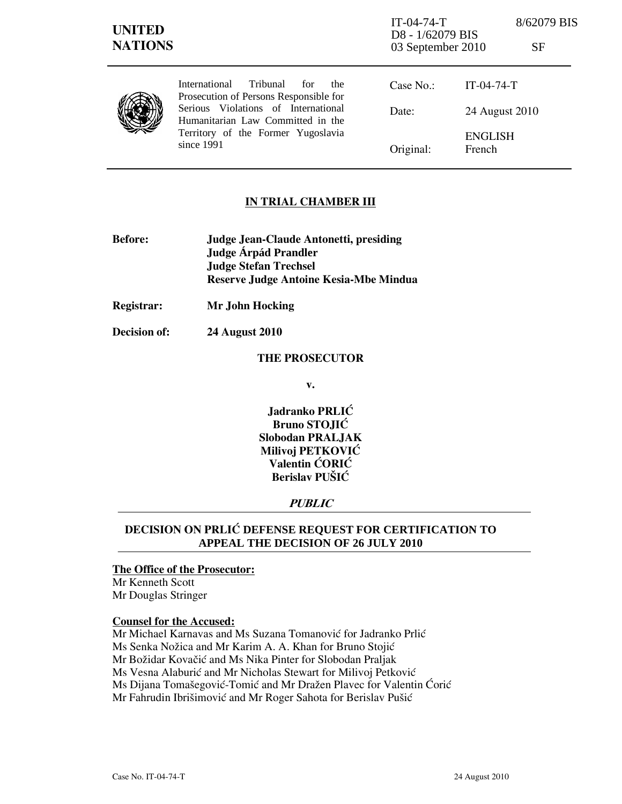| <b>UNITED</b><br><b>NATIONS</b> |                                                                                                                                                                                                                     | $IT-04-74-T$<br>D8 - 1/62079 BIS<br>03 September 2010 |                          | 8/62079 BIS<br>SF |
|---------------------------------|---------------------------------------------------------------------------------------------------------------------------------------------------------------------------------------------------------------------|-------------------------------------------------------|--------------------------|-------------------|
|                                 | Tribunal<br>International<br>for<br>the<br>Prosecution of Persons Responsible for<br>Serious Violations of International<br>Humanitarian Law Committed in the<br>Territory of the Former Yugoslavia<br>since $1991$ | Case No.:                                             | $IT-04-74-T$             |                   |
|                                 |                                                                                                                                                                                                                     | Date:                                                 | 24 August 2010           |                   |
|                                 |                                                                                                                                                                                                                     | Original:                                             | <b>ENGLISH</b><br>French |                   |

## IN TRIAL CHAMBER III

- Before: Judge Jean-Claude Antonetti, presiding Judge **Árpád Prandler**  Judge Stefan Trechsel Reserve Judge Antoine Kesia-Mbe Mindua
- Registrar: Mr John Hocking

Decision of: 24 August 2010

#### THE PROSECUTOR

v.

Jadranko PRLIĆ Bruno STOJIĆ Slobodan PRALJAK Milivoj PETKOVIĆ Valentin ĆORIĆ Berislav PUŠIĆ

## PUBLIC

# DECISION ON PRLI] **DEFENSE REQUEST FOR CERTIFICATION TO APPEAL THE DECISION OF 26 JULY 2010**

#### The Office of the Prosecutor:

Mr Kenneth Scott Mr Douglas Stringer

#### Counsel for the Accused:

Mr Michael Karnavas and Ms Suzana Tomanović for Jadranko Prlić Ms Senka Nožica and Mr Karim A. A. Khan for Bruno Stojić Mr Božidar Kovačić and Ms Nika Pinter for Slobodan Praljak Ms Vesna Alaburić and Mr Nicholas Stewart for Milivoj Petković Ms Dijana Tomašegović-Tomić and Mr Dražen Plavec for Valentin Ćorić Mr Fahrudin Ibrišimović and Mr Roger Sahota for Berislav Pušić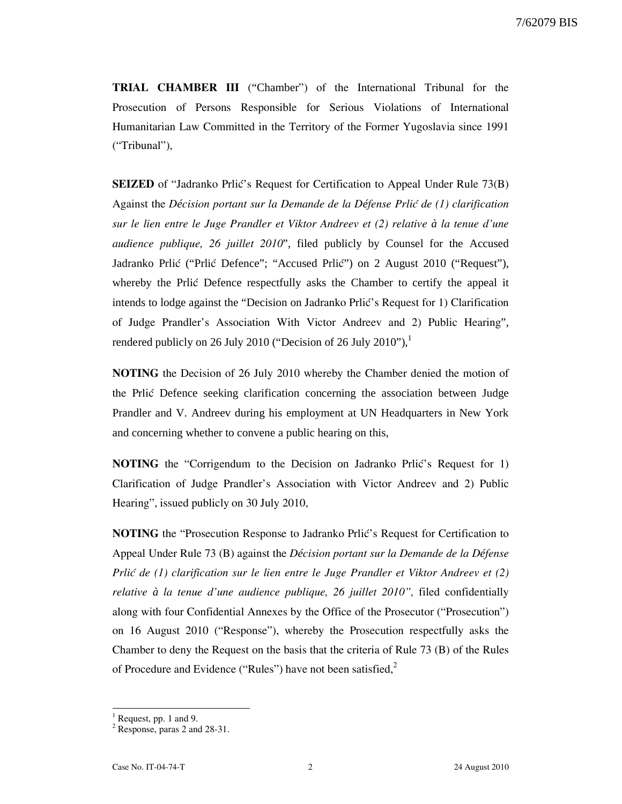TRIAL CHAMBER III ("Chamber") of the International Tribunal for the Prosecution of Persons Responsible for Serious Violations of International Humanitarian Law Committed in the Territory of the Former Yugoslavia since 1991 ("Tribunal"),

**SEIZED** of "Jadranko Prlić's Request for Certification to Appeal Under Rule 73(B) Against the *Décision portant sur la Demande de la Défense Prlić de (1) clarification* sur le lien entre le Juge Prandler et Viktor Andreev et (2) relative *à* la tenue d'une audience publique, 26 juillet 2010", filed publicly by Counsel for the Accused Jadranko Prlić ("Prlić Defence"; "Accused Prlić") on 2 August 2010 ("Request"), whereby the Prlic Defence respectfully asks the Chamber to certify the appeal it intends to lodge against the "Decision on Jadranko Prlic's Request for 1) Clarification of Judge Prandler's Association With Victor Andreev and 2) Public Hearing", rendered publicly on 26 July 2010 ("Decision of 26 July 2010"), $^1$ 

NOTING the Decision of 26 July 2010 whereby the Chamber denied the motion of the Prli} Defence seeking clarification concerning the association between Judge Prandler and V. Andreev during his employment at UN Headquarters in New York and concerning whether to convene a public hearing on this,

NOTING the "Corrigendum to the Decision on Jadranko Prlić's Request for 1) Clarification of Judge Prandler's Association with Victor Andreev and 2) Public Hearing", issued publicly on 30 July 2010,

NOTING the "Prosecution Response to Jadranko Prlić's Request for Certification to Appeal Under Rule 73 (B) against the D*é*cision portant sur la Demande de la D*é*fense Prli $\acute{c}$  de (1) clarification sur le lien entre le Juge Prandler et Viktor Andreev et (2) relative *à* la tenue d'une audience publique, 26 juillet 2010", filed confidentially along with four Confidential Annexes by the Office of the Prosecutor ("Prosecution") on 16 August 2010 ("Response"), whereby the Prosecution respectfully asks the Chamber to deny the Request on the basis that the criteria of Rule 73 (B) of the Rules of Procedure and Evidence ("Rules") have not been satisfied, $2^2$ 

 $\overline{a}$ 

<sup>1</sup> Request, pp. 1 and 9.

<sup>&</sup>lt;sup>2</sup> Response, paras 2 and 28-31.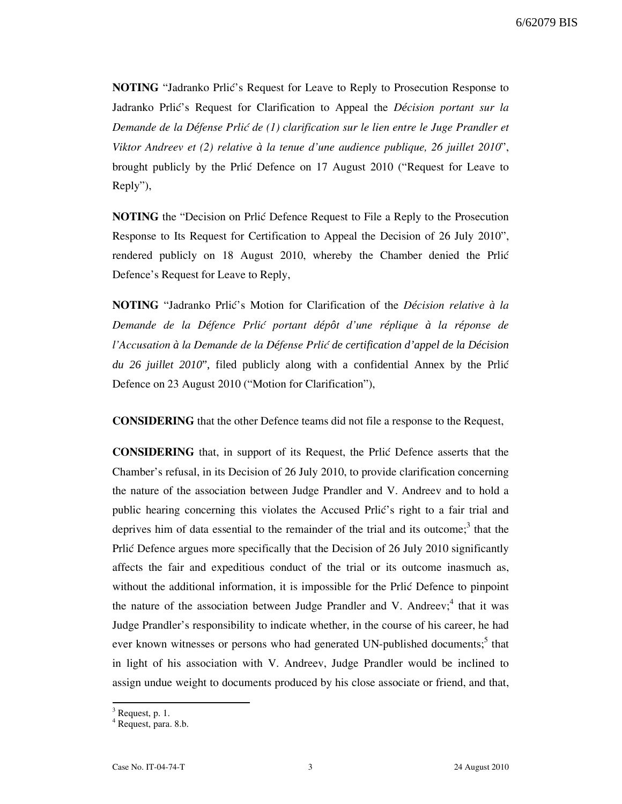**NOTING** "Jadranko Prlić's Request for Leave to Reply to Prosecution Response to Jadranko Prlić's Request for Clarification to Appeal the *Décision portant sur la* Demande de la Défense Prli*ć de* (1) clarification sur le lien entre le Juge Prandler et Viktor Andreev et (2) relative *à* la tenue d'une audience publique, 26 juillet 2010", brought publicly by the Prlić Defence on 17 August 2010 ("Request for Leave to Reply"),

**NOTING** the "Decision on Prlic Defence Request to File a Reply to the Prosecution Response to Its Request for Certification to Appeal the Decision of 26 July 2010", rendered publicly on 18 August 2010, whereby the Chamber denied the Priic Defence's Request for Leave to Reply,

NOTING "Jadranko Prli}'s Motion for Clarification of the D*é*cision relative *à* la Demande de la D*é*fence Prli} portant d*é*p*ô*t d'une r*é*plique *à* la r*é*ponse de l'Accusation *à* la Demande de la D*é*fense Prli} *de certification d'appel de la Décision du 26 juillet 2010*", filed publicly along with a confidential Annex by the Prlić Defence on 23 August 2010 ("Motion for Clarification"),

CONSIDERING that the other Defence teams did not file a response to the Request,

CONSIDERING that, in support of its Request, the Prli} Defence asserts that the Chamber's refusal, in its Decision of 26 July 2010, to provide clarification concerning the nature of the association between Judge Prandler and V. Andreev and to hold a public hearing concerning this violates the Accused Prlić's right to a fair trial and deprives him of data essential to the remainder of the trial and its outcome;<sup>3</sup> that the Prlic Defence argues more specifically that the Decision of 26 July 2010 significantly affects the fair and expeditious conduct of the trial or its outcome inasmuch as, without the additional information, it is impossible for the Prlic Defence to pinpoint the nature of the association between Judge Prandler and V. Andreev;<sup>4</sup> that it was Judge Prandler's responsibility to indicate whether, in the course of his career, he had ever known witnesses or persons who had generated UN-published documents;<sup>5</sup> that in light of his association with V. Andreev, Judge Prandler would be inclined to assign undue weight to documents produced by his close associate or friend, and that,

 $\overline{a}$ 

 $3$  Request, p. 1.

<sup>4</sup> Request, para. 8.b.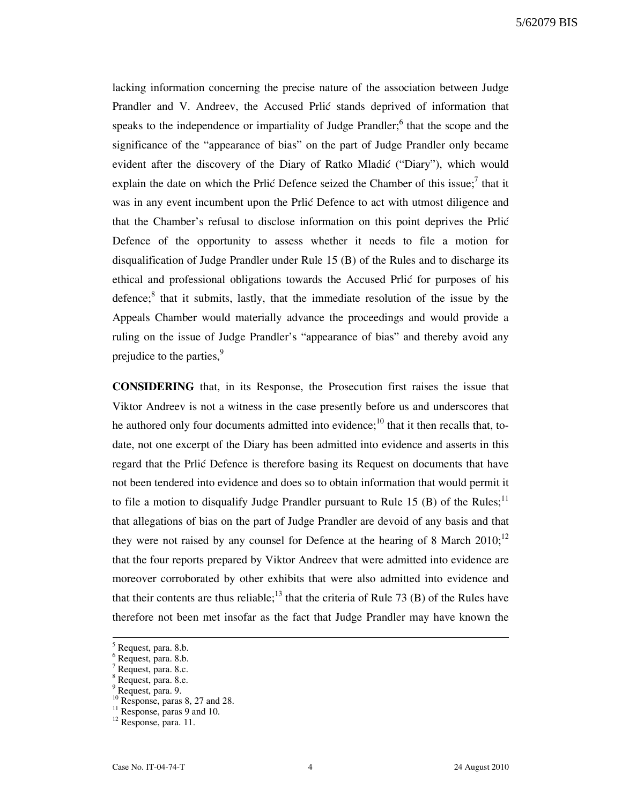lacking information concerning the precise nature of the association between Judge Prandler and V. Andreev, the Accused Prlić stands deprived of information that speaks to the independence or impartiality of Judge Prandler;<sup>6</sup> that the scope and the significance of the "appearance of bias" on the part of Judge Prandler only became evident after the discovery of the Diary of Ratko Mladić ("Diary"), which would explain the date on which the Prlić Defence seized the Chamber of this issue;<sup>7</sup> that it was in any event incumbent upon the Prlic Defence to act with utmost diligence and that the Chamber's refusal to disclose information on this point deprives the Prlic Defence of the opportunity to assess whether it needs to file a motion for disqualification of Judge Prandler under Rule 15 (B) of the Rules and to discharge its ethical and professional obligations towards the Accused Prlić for purposes of his defence;<sup>8</sup> that it submits, lastly, that the immediate resolution of the issue by the Appeals Chamber would materially advance the proceedings and would provide a ruling on the issue of Judge Prandler's "appearance of bias" and thereby avoid any prejudice to the parties,<sup>9</sup>

CONSIDERING that, in its Response, the Prosecution first raises the issue that Viktor Andreev is not a witness in the case presently before us and underscores that he authored only four documents admitted into evidence;<sup>10</sup> that it then recalls that, todate, not one excerpt of the Diary has been admitted into evidence and asserts in this regard that the Prlić Defence is therefore basing its Request on documents that have not been tendered into evidence and does so to obtain information that would permit it to file a motion to disqualify Judge Prandler pursuant to Rule 15 (B) of the Rules;<sup>11</sup> that allegations of bias on the part of Judge Prandler are devoid of any basis and that they were not raised by any counsel for Defence at the hearing of 8 March  $2010$ ;<sup>12</sup> that the four reports prepared by Viktor Andreev that were admitted into evidence are moreover corroborated by other exhibits that were also admitted into evidence and that their contents are thus reliable;<sup>13</sup> that the criteria of Rule 73 (B) of the Rules have therefore not been met insofar as the fact that Judge Prandler may have known the

<sup>&</sup>lt;sup>5</sup> Request, para. 8.b.

<sup>6</sup> Request, para. 8.b.

<sup>&</sup>lt;sup>7</sup> Request, para. 8.c.

<sup>8</sup> Request, para. 8.e.

<sup>&</sup>lt;sup>9</sup> Request, para. 9.

 $^{10}$  Response, paras 8, 27 and 28.

 $11$  Response, paras 9 and 10.

<sup>&</sup>lt;sup>12</sup> Response, para. 11.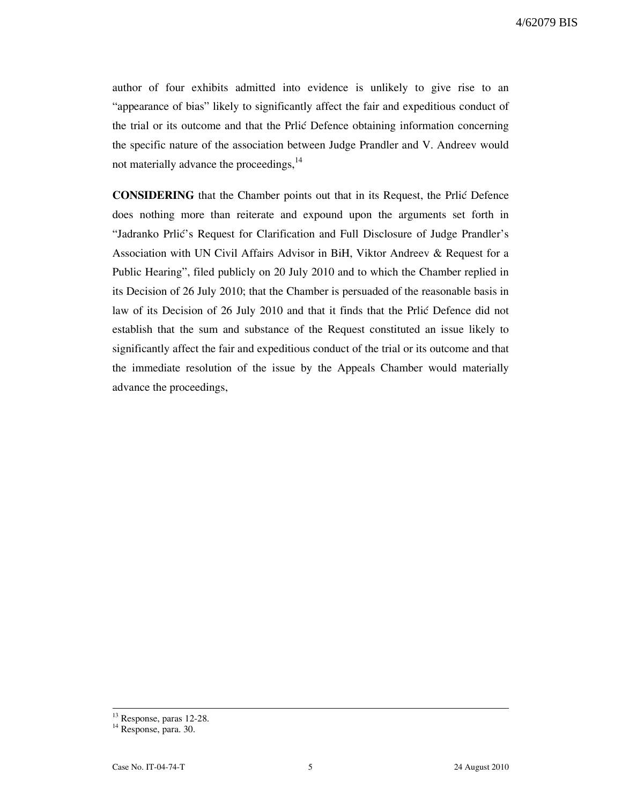author of four exhibits admitted into evidence is unlikely to give rise to an "appearance of bias" likely to significantly affect the fair and expeditious conduct of the trial or its outcome and that the Prlic Defence obtaining information concerning the specific nature of the association between Judge Prandler and V. Andreev would not materially advance the proceedings,<sup>14</sup>

CONSIDERING that the Chamber points out that in its Request, the Prlić Defence does nothing more than reiterate and expound upon the arguments set forth in "Jadranko Prlić's Request for Clarification and Full Disclosure of Judge Prandler's Association with UN Civil Affairs Advisor in BiH, Viktor Andreev & Request for a Public Hearing", filed publicly on 20 July 2010 and to which the Chamber replied in its Decision of 26 July 2010; that the Chamber is persuaded of the reasonable basis in law of its Decision of 26 July 2010 and that it finds that the Prlic Defence did not establish that the sum and substance of the Request constituted an issue likely to significantly affect the fair and expeditious conduct of the trial or its outcome and that the immediate resolution of the issue by the Appeals Chamber would materially advance the proceedings,

 $\overline{a}$ <sup>13</sup> Response, paras 12-28.

<sup>&</sup>lt;sup>14</sup> Response, para. 30.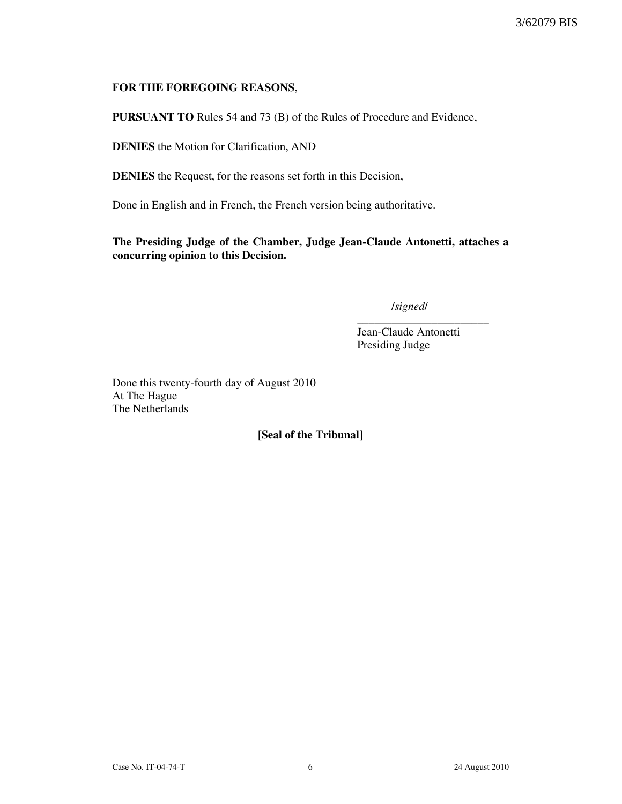## FOR THE FOREGOING REASONS,

PURSUANT TO Rules 54 and 73 (B) of the Rules of Procedure and Evidence,

DENIES the Motion for Clarification, AND

DENIES the Request, for the reasons set forth in this Decision,

Done in English and in French, the French version being authoritative.

The Presiding Judge of the Chamber, Judge Jean-Claude Antonetti, attaches a concurring opinion to this Decision.

/signed/

Jean-Claude Antonetti Presiding Judge

\_\_\_\_\_\_\_\_\_\_\_\_\_\_\_\_\_\_\_\_\_\_\_

Done this twenty-fourth day of August 2010 At The Hague The Netherlands

[Seal of the Tribunal]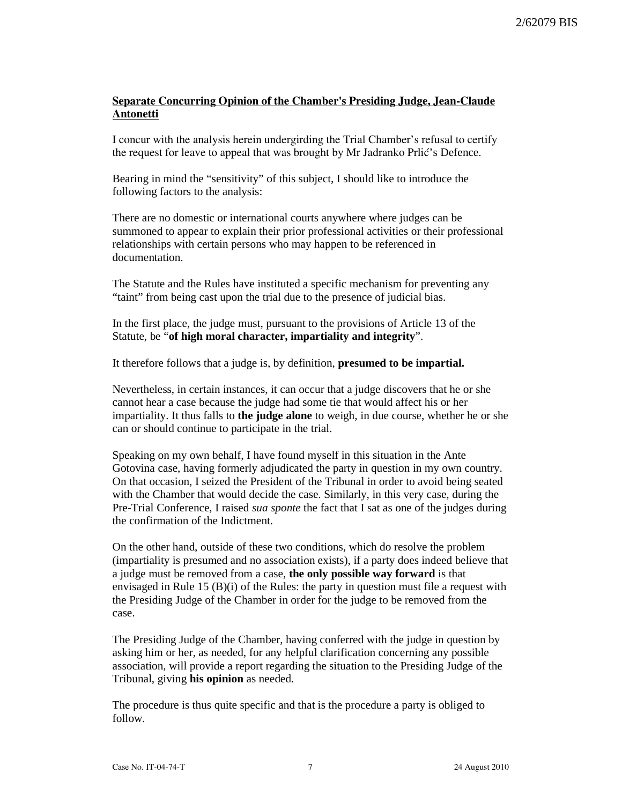# Separate Concurring Opinion of the Chamber's Presiding Judge, Jean-Claude Antonetti

I concur with the analysis herein undergirding the Trial Chamber's refusal to certify the request for leave to appeal that was brought by Mr Jadranko Prlić's Defence.

Bearing in mind the "sensitivity" of this subject, I should like to introduce the following factors to the analysis:

There are no domestic or international courts anywhere where judges can be summoned to appear to explain their prior professional activities or their professional relationships with certain persons who may happen to be referenced in documentation.

The Statute and the Rules have instituted a specific mechanism for preventing any "taint" from being cast upon the trial due to the presence of judicial bias.

In the first place, the judge must, pursuant to the provisions of Article 13 of the Statute, be "**of high moral character, impartiality and integrity**".

It therefore follows that a judge is, by definition, **presumed to be impartial.**

Nevertheless, in certain instances, it can occur that a judge discovers that he or she cannot hear a case because the judge had some tie that would affect his or her impartiality. It thus falls to **the judge alone** to weigh, in due course, whether he or she can or should continue to participate in the trial.

Speaking on my own behalf, I have found myself in this situation in the Ante Gotovina case, having formerly adjudicated the party in question in my own country. On that occasion, I seized the President of the Tribunal in order to avoid being seated with the Chamber that would decide the case. Similarly, in this very case, during the Pre-Trial Conference, I raised *sua sponte* the fact that I sat as one of the judges during the confirmation of the Indictment.

On the other hand, outside of these two conditions, which do resolve the problem (impartiality is presumed and no association exists), if a party does indeed believe that a judge must be removed from a case, **the only possible way forward** is that envisaged in Rule 15 (B)(i) of the Rules: the party in question must file a request with the Presiding Judge of the Chamber in order for the judge to be removed from the case.

The Presiding Judge of the Chamber, having conferred with the judge in question by asking him or her, as needed, for any helpful clarification concerning any possible association, will provide a report regarding the situation to the Presiding Judge of the Tribunal, giving **his opinion** as needed.

The procedure is thus quite specific and that is the procedure a party is obliged to follow.